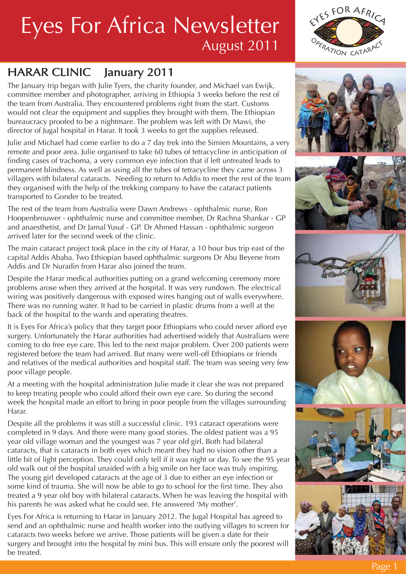### HARAR CLINIC January 2011

The January trip began with Julie Tyers, the charity founder, and Michael van Ewijk, committee member and photographer, arriving in Ethiopia 3 weeks before the rest of the team from Australia. They encountered problems right from the start. Customs would not clear the equipment and supplies they brought with them. The Ethiopian bureaucracy proofed to be a nightmare. The problem was left with Dr Mawi, the director of Jugal hospital in Harar. It took 3 weeks to get the supplies released.

Julie and Michael had come earlier to do a 7 day trek into the Simien Mountains, a very remote and poor area. Julie organised to take 60 tubes of tetracycline in anticipation of finding cases of trachoma, a very common eye infection that if left untreated leads to permanent blindness. As well as using all the tubes of tetracycline they came across 3 villagers with bilateral cataracts. Needing to return to Addis to meet the rest of the team they organised with the help of the trekking company to have the cataract patients transported to Gonder to be treated.

The rest of the team from Australia were Dawn Andrews - ophthalmic nurse, Ron Hoopenbrouwer - ophthalmic nurse and committee member, Dr Rachna Shankar - GP and anaesthetist, and Dr Jamal Yusuf - GP. Dr Ahmed Hassan - ophthalmic surgeon arrived later for the second week of the clinic.

The main cataract project took place in the city of Harar, a 10 hour bus trip east of the capital Addis Ababa. Two Ethiopian based ophthalmic surgeons Dr Abu Beyene from Addis and Dr Nuradin from Harar also joined the team.

Despite the Harar medical authorities putting on a grand welcoming ceremony more problems arose when they arrived at the hospital. It was very rundown. The electrical wiring was positively dangerous with exposed wires hanging out of walls everywhere. There was no running water. It had to be carried in plastic drums from a well at the back of the hospital to the wards and operating theatres.

It is Eyes For Africa's policy that they target poor Ethiopians who could never afford eye surgery. Unfortunately the Harar authorities had advertised widely that Australians were coming to do free eye care. This led to the next major problem. Over 200 patients were registered before the team had arrived. But many were well-off Ethiopians or friends and relatives of the medical authorities and hospital staff. The team was seeing very few poor village people.

At a meeting with the hospital administration Julie made it clear she was not prepared to keep treating people who could afford their own eye care. So during the second week the hospital made an effort to bring in poor people from the villages surrounding Harar.

Despite all the problems it was still a successful clinic. 193 cataract operations were completed in 9 days. And there were many good stories. The oldest patient was a 95 year old village woman and the youngest was 7 year old girl. Both had bilateral cataracts, that is cataracts in both eyes which meant they had no vision other than a little bit of light perception. They could only tell if it was night or day. To see the 95 year old walk out of the hospital unaided with a big smile on her face was truly inspiring. The young girl developed cataracts at the age of 3 due to either an eye infection or some kind of trauma. She will now be able to go to school for the first time. They also treated a 9 year old boy with bilateral cataracts. When he was leaving the hospital with his parents he was asked what he could see. He answered 'My mother'.

Eyes For Africa is returning to Harar in January 2012. The Jugal Hospital has agreed to send and an ophthalmic nurse and health worker into the outlying villages to screen for cataracts two weeks before we arrive. Those patients will be given a date for their surgery and brought into the hospital by mini bus. This will ensure only the poorest will be treated.













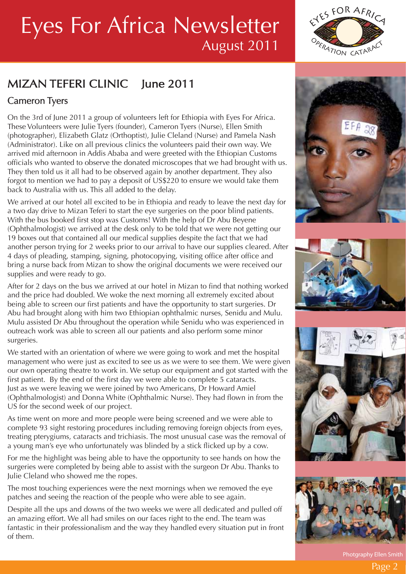### MIZAN TEFERI CLINIC lune 2011

### Cameron Tyers

On the 3rd of June 2011 a group of volunteers left for Ethiopia with Eyes For Africa. These Volunteers were Julie Tyers (founder), Cameron Tyers (Nurse), Ellen Smith (photographer), Elizabeth Glatz (Orthoptist), Julie Cleland (Nurse) and Pamela Nash (Administrator). Like on all previous clinics the volunteers paid their own way. We arrived mid afternoon in Addis Ababa and were greeted with the Ethiopian Customs officials who wanted to observe the donated microscopes that we had brought with us. They then told us it all had to be observed again by another department. They also forgot to mention we had to pay a deposit of US\$220 to ensure we would take them back to Australia with us. This all added to the delay.

We arrived at our hotel all excited to be in Ethiopia and ready to leave the next day for a two day drive to Mizan Teferi to start the eye surgeries on the poor blind patients. With the bus booked first stop was Customs! With the help of Dr Abu Beyene (Ophthalmologist) we arrived at the desk only to be told that we were not getting our 19 boxes out that contained all our medical supplies despite the fact that we had another person trying for 2 weeks prior to our arrival to have our supplies cleared. After 4 days of pleading, stamping, signing, photocopying, visiting office after office and bring a nurse back from Mizan to show the original documents we were received our supplies and were ready to go.

After for 2 days on the bus we arrived at our hotel in Mizan to find that nothing worked and the price had doubled. We woke the next morning all extremely excited about being able to screen our first patients and have the opportunity to start surgeries. Dr Abu had brought along with him two Ethiopian ophthalmic nurses, Senidu and Mulu. Mulu assisted Dr Abu throughout the operation while Senidu who was experienced in outreach work was able to screen all our patients and also perform some minor surgeries.

We started with an orientation of where we were going to work and met the hospital management who were just as excited to see us as we were to see them. We were given our own operating theatre to work in. We setup our equipment and got started with the first patient. By the end of the first day we were able to complete 5 cataracts. Just as we were leaving we were joined by two Americans, Dr Howard Amiel (Ophthalmologist) and Donna White (Ophthalmic Nurse). They had flown in from the US for the second week of our project.

As time went on more and more people were being screened and we were able to complete 93 sight restoring procedures including removing foreign objects from eyes, treating pterygiums, cataracts and trichiasis. The most unusual case was the removal of a young man's eye who unfortunately was blinded by a stick flicked up by a cow.

For me the highlight was being able to have the opportunity to see hands on how the surgeries were completed by being able to assist with the surgeon Dr Abu. Thanks to Julie Cleland who showed me the ropes.

The most touching experiences were the next mornings when we removed the eye patches and seeing the reaction of the people who were able to see again.

Despite all the ups and downs of the two weeks we were all dedicated and pulled off an amazing effort. We all had smiles on our faces right to the end. The team was fantastic in their professionalism and the way they handled every situation put in front of them.











Photgraphy Ellen Smith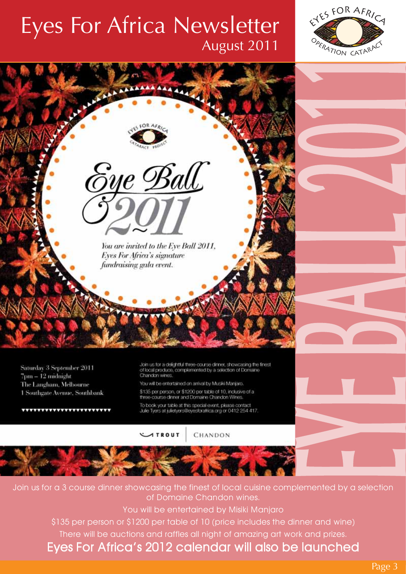



Join us for a 3 course dinner showcasing the finest of local cuisine complemented by a selection of Domaine Chandon wines.

You will be entertained by Misiki Manjaro

\$135 per person or \$1200 per table of 10 (price includes the dinner and wine)

There will be auctions and raffles all night of amazing art work and prizes.